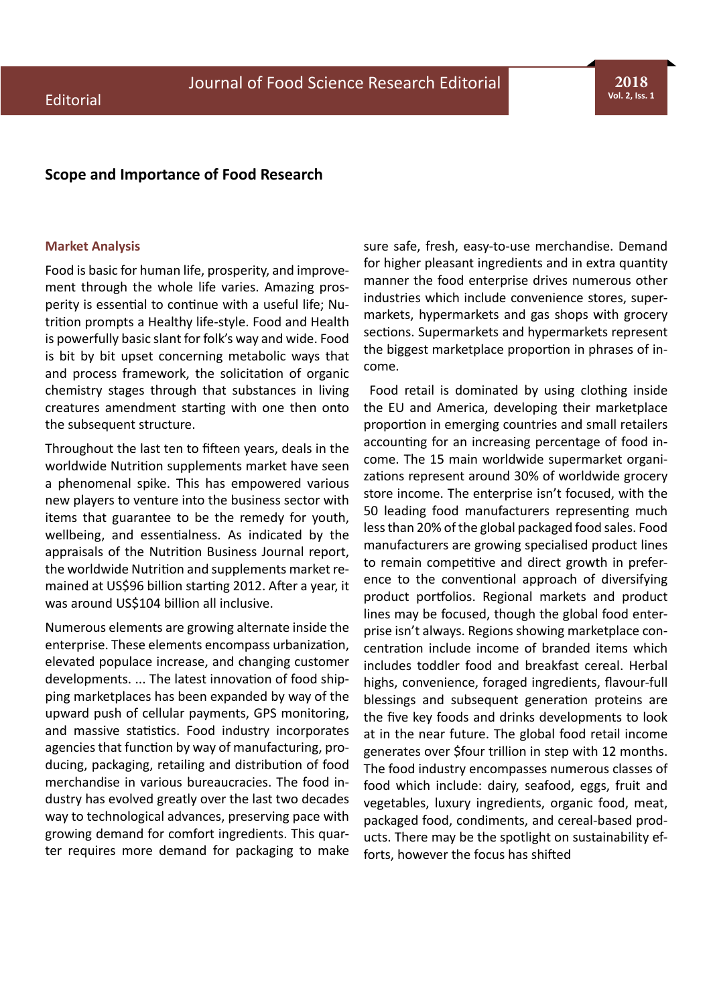**2018 Vol. 2, Iss. 1**

## **Scope and Importance of Food Research**

## **Market Analysis**

Food is basic for human life, prosperity, and improvement through the whole life varies. Amazing prosperity is essential to continue with a useful life; Nutrition prompts a Healthy life-style. Food and Health is powerfully basic slant for folk's way and wide. Food is bit by bit upset concerning metabolic ways that and process framework, the solicitation of organic chemistry stages through that substances in living creatures amendment starting with one then onto the subsequent structure.

Throughout the last ten to fifteen years, deals in the worldwide Nutrition supplements market have seen a phenomenal spike. This has empowered various new players to venture into the business sector with items that guarantee to be the remedy for youth, wellbeing, and essentialness. As indicated by the appraisals of the Nutrition Business Journal report, the worldwide Nutrition and supplements market remained at US\$96 billion starting 2012. After a year, it was around US\$104 billion all inclusive.

Numerous elements are growing alternate inside the enterprise. These elements encompass urbanization, elevated populace increase, and changing customer developments. ... The latest innovation of food shipping marketplaces has been expanded by way of the upward push of cellular payments, GPS monitoring, and massive statistics. Food industry incorporates agencies that function by way of manufacturing, producing, packaging, retailing and distribution of food merchandise in various bureaucracies. The food industry has evolved greatly over the last two decades way to technological advances, preserving pace with growing demand for comfort ingredients. This quarter requires more demand for packaging to make sure safe, fresh, easy-to-use merchandise. Demand for higher pleasant ingredients and in extra quantity manner the food enterprise drives numerous other industries which include convenience stores, supermarkets, hypermarkets and gas shops with grocery sections. Supermarkets and hypermarkets represent the biggest marketplace proportion in phrases of income.

 Food retail is dominated by using clothing inside the EU and America, developing their marketplace proportion in emerging countries and small retailers accounting for an increasing percentage of food income. The 15 main worldwide supermarket organizations represent around 30% of worldwide grocery store income. The enterprise isn't focused, with the 50 leading food manufacturers representing much less than 20% of the global packaged food sales. Food manufacturers are growing specialised product lines to remain competitive and direct growth in preference to the conventional approach of diversifying product portfolios. Regional markets and product lines may be focused, though the global food enterprise isn't always. Regions showing marketplace concentration include income of branded items which includes toddler food and breakfast cereal. Herbal highs, convenience, foraged ingredients, flavour-full blessings and subsequent generation proteins are the five key foods and drinks developments to look at in the near future. The global food retail income generates over \$four trillion in step with 12 months. The food industry encompasses numerous classes of food which include: dairy, seafood, eggs, fruit and vegetables, luxury ingredients, organic food, meat, packaged food, condiments, and cereal-based products. There may be the spotlight on sustainability efforts, however the focus has shifted